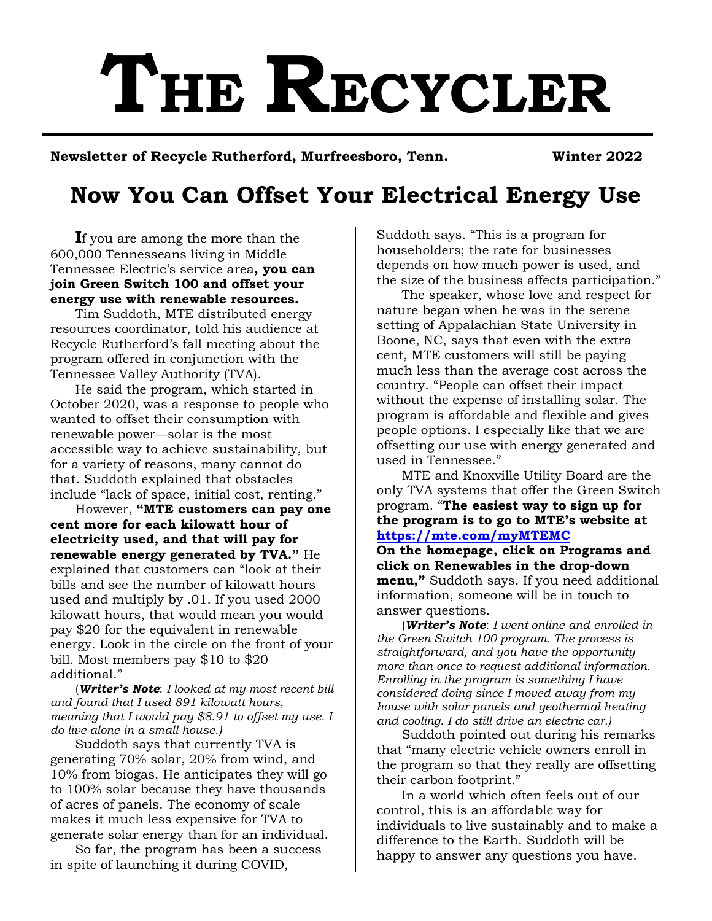# **THE RECYCLER**

**Newsletter of Recycle Rutherford, Murfreesboro, Tenn. Winter 2022** 

# **Now You Can Offset Your Electrical Energy Use**

**I**f you are among the more than the 600,000 Tennesseans living in Middle Tennessee Electric's service area**, you can join Green Switch 100 and offset your energy use with renewable resources.**

Tim Suddoth, MTE distributed energy resources coordinator, told his audience at Recycle Rutherford's fall meeting about the program offered in conjunction with the Tennessee Valley Authority (TVA).

He said the program, which started in October 2020, was a response to people who wanted to offset their consumption with renewable power—solar is the most accessible way to achieve sustainability, but for a variety of reasons, many cannot do that. Suddoth explained that obstacles include "lack of space, initial cost, renting."

However, **"MTE customers can pay one cent more for each kilowatt hour of electricity used, and that will pay for renewable energy generated by TVA."** He explained that customers can "look at their bills and see the number of kilowatt hours used and multiply by .01. If you used 2000 kilowatt hours, that would mean you would pay \$20 for the equivalent in renewable energy. Look in the circle on the front of your bill. Most members pay \$10 to \$20 additional."

(*Writer's Note*: *I looked at my most recent bill and found that I used 891 kilowatt hours, meaning that I would pay \$8.91 to offset my use. I do live alone in a small house.)* 

Suddoth says that currently TVA is generating 70% solar, 20% from wind, and 10% from biogas. He anticipates they will go to 100% solar because they have thousands of acres of panels. The economy of scale makes it much less expensive for TVA to generate solar energy than for an individual.

So far, the program has been a success in spite of launching it during COVID,

Suddoth says. "This is a program for householders; the rate for businesses depends on how much power is used, and the size of the business affects participation."

The speaker, whose love and respect for nature began when he was in the serene setting of Appalachian State University in Boone, NC, says that even with the extra cent, MTE customers will still be paying much less than the average cost across the country. "People can offset their impact without the expense of installing solar. The program is affordable and flexible and gives people options. I especially like that we are offsetting our use with energy generated and used in Tennessee."

MTE and Knoxville Utility Board are the only TVA systems that offer the Green Switch program. "**The easiest way to sign up for the program is to go to MTE's website at <https://mte.com/myMTEMC>**

**On the homepage, click on Programs and click on Renewables in the drop-down menu,"** Suddoth says. If you need additional information, someone will be in touch to answer questions.

(*Writer's Note*: *I went online and enrolled in the Green Switch 100 program. The process is straightforward, and you have the opportunity more than once to request additional information. Enrolling in the program is something I have considered doing since I moved away from my house with solar panels and geothermal heating and cooling. I do still drive an electric car.)*

Suddoth pointed out during his remarks that "many electric vehicle owners enroll in the program so that they really are offsetting their carbon footprint."

In a world which often feels out of our control, this is an affordable way for individuals to live sustainably and to make a difference to the Earth. Suddoth will be happy to answer any questions you have.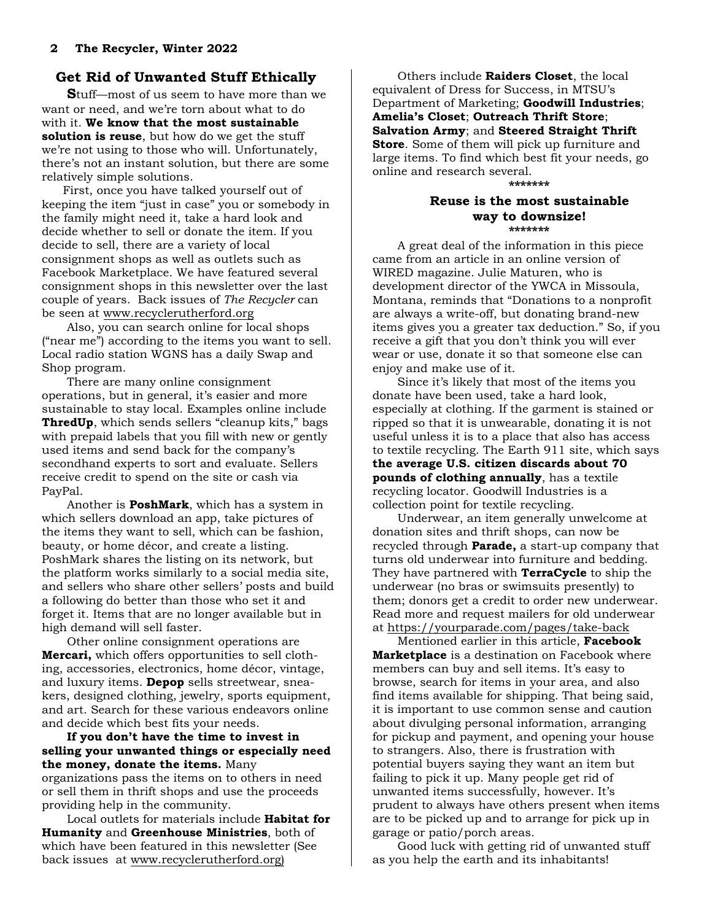# **Get Rid of Unwanted Stuff Ethically**

**S**tuff—most of us seem to have more than we want or need, and we're torn about what to do with it. **We know that the most sustainable solution is reuse**, but how do we get the stuff we're not using to those who will. Unfortunately, there's not an instant solution, but there are some relatively simple solutions.

First, once you have talked yourself out of keeping the item "just in case" you or somebody in the family might need it, take a hard look and decide whether to sell or donate the item. If you decide to sell, there are a variety of local consignment shops as well as outlets such as Facebook Marketplace. We have featured several consignment shops in this newsletter over the last couple of years. Back issues of *The Recycler* can be seen at [www.recyclerutherford.org](http://www.recyclerutherford.org/) 

Also, you can search online for local shops ("near me") according to the items you want to sell. Local radio station WGNS has a daily Swap and Shop program.

There are many online consignment operations, but in general, it's easier and more sustainable to stay local. Examples online include **ThredUp**, which sends sellers "cleanup kits," bags with prepaid labels that you fill with new or gently used items and send back for the company's secondhand experts to sort and evaluate. Sellers receive credit to spend on the site or cash via PayPal.

Another is **[PoshMark](https://poshmark.com/?utm_source=shopzilla&ad_partner=shopzilla&cnxclid=16415823787399336368310080302008005)**, which has a system in which sellers download an app, take pictures of the items they want to sell, which can be fashion, beauty, or home décor, and create a listing. PoshMark shares the listing on its network, but the platform works similarly to a social media site, and sellers who share other sellers' posts and build a following do better than those who set it and forget it. Items that are no longer available but in high demand will sell faster.

Other online consignment operations are **Mercari,** which offers opportunities to sell clothing, accessories, electronics, home décor, vintage, and luxury items. **Depop** sells streetwear, sneakers, designed clothing, jewelry, sports equipment, and art. Search for these various endeavors online and decide which best fits your needs.

#### **If you don't have the time to invest in selling your unwanted things or especially need the money, donate the items.** Many

organizations pass the items on to others in need or sell them in thrift shops and use the proceeds providing help in the community.

Local outlets for materials include **Habitat for Humanity** and **Greenhouse Ministries**, both of which have been featured in this newsletter (See back issues a[t www.recyclerutherford.org\)](http://www.recyclerutherford.org/) 

Others include **Raiders Closet**, the local equivalent of Dress for Success, in MTSU's Department of Marketing; **Goodwill Industries**; **Amelia's Closet**; **Outreach Thrift Store**; **Salvation Army**; and **Steered Straight Thrift Store**. Some of them will pick up furniture and large items. To find which best fit your needs, go online and research several.

#### **\*\*\*\*\*\*\***

#### **Reuse is the most sustainable way to downsize! \*\*\*\*\*\*\***

A great deal of the information in this piece came from an article in an online version of WIRED magazine. Julie Maturen, who is development director of the YWCA in Missoula, Montana, reminds that "Donations to a nonprofit are always a write-off, but donating brand-new items gives you a greater tax deduction." So, if you receive a gift that you don't think you will ever wear or use, donate it so that someone else can enjoy and make use of it.

Since it's likely that most of the items you donate have been used, take a hard look, especially at clothing. If the garment is stained or ripped so that it is unwearable, donating it is not useful unless it is to a place that also has access to textile recycling. The Earth 911 site, which says **the average U.S. citizen discards about 70 pounds of clothing annually**, has a textile recycling locator. Goodwill Industries is a collection point for textile recycling.

Underwear, an item generally unwelcome at donation sites and thrift shops, can now be recycled through **Parade,** a start-up company that turns old underwear into furniture and bedding. They have partnered with **TerraCycle** to ship the underwear (no bras or swimsuits presently) to them; donors get a credit to order new underwear. Read more and request mailers for old underwear at<https://yourparade.com/pages/take-back>

Mentioned earlier in this article, **Facebook Marketplace** is a destination on Facebook where members can buy and sell items. It's easy to browse, search for items in your area, and also find items available for shipping. That being said, it is important to use common sense and caution about divulging personal information, arranging for pickup and payment, and opening your house to strangers. Also, there is frustration with potential buyers saying they want an item but failing to pick it up. Many people get rid of unwanted items successfully, however. It's prudent to always have others present when items are to be picked up and to arrange for pick up in garage or patio/porch areas.

Good luck with getting rid of unwanted stuff as you help the earth and its inhabitants!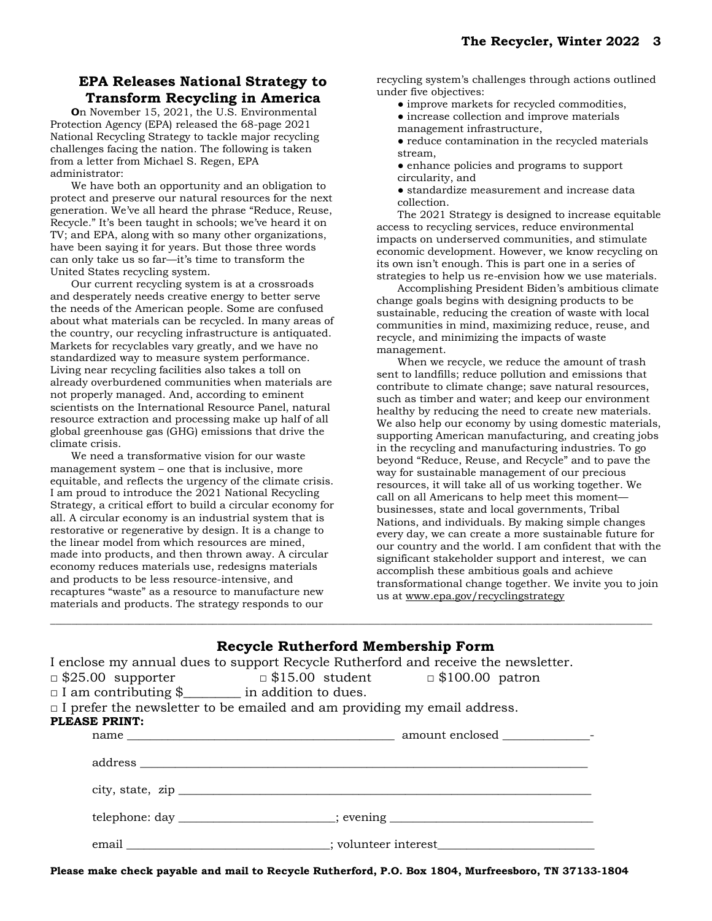# **EPA Releases National Strategy to Transform Recycling in America**

**O**n November 15, 2021, the U.S. Environmental Protection Agency (EPA) released the 68-page 2021 National Recycling Strategy to tackle major recycling challenges facing the nation. The following is taken from a letter from Michael S. Regen, EPA administrator:

We have both an opportunity and an obligation to protect and preserve our natural resources for the next generation. We've all heard the phrase "Reduce, Reuse, Recycle." It's been taught in schools; we've heard it on TV; and EPA, along with so many other organizations, have been saying it for years. But those three words can only take us so far—it's time to transform the United States recycling system.

Our current recycling system is at a crossroads and desperately needs creative energy to better serve the needs of the American people. Some are confused about what materials can be recycled. In many areas of the country, our recycling infrastructure is antiquated. Markets for recyclables vary greatly, and we have no standardized way to measure system performance. Living near recycling facilities also takes a toll on already overburdened communities when materials are not properly managed. And, according to eminent scientists on the International Resource Panel, natural resource extraction and processing make up half of all global greenhouse gas (GHG) emissions that drive the climate crisis.

We need a transformative vision for our waste management system – one that is inclusive, more equitable, and reflects the urgency of the climate crisis. I am proud to introduce the 2021 National Recycling Strategy, a critical effort to build a circular economy for all. A circular economy is an industrial system that is restorative or regenerative by design. It is a change to the linear model from which resources are mined, made into products, and then thrown away. A circular economy reduces materials use, redesigns materials and products to be less resource-intensive, and recaptures "waste" as a resource to manufacture new materials and products. The strategy responds to our

recycling system's challenges through actions outlined under five objectives:

- improve markets for recycled commodities,
- increase collection and improve materials
- management infrastructure,
- reduce contamination in the recycled materials stream,
- enhance policies and programs to support circularity, and
- standardize measurement and increase data collection.

The 2021 Strategy is designed to increase equitable access to recycling services, reduce environmental impacts on underserved communities, and stimulate economic development. However, we know recycling on its own isn't enough. This is part one in a series of strategies to help us re-envision how we use materials.

Accomplishing President Biden's ambitious climate change goals begins with designing products to be sustainable, reducing the creation of waste with local communities in mind, maximizing reduce, reuse, and recycle, and minimizing the impacts of waste management.

When we recycle, we reduce the amount of trash sent to landfills; reduce pollution and emissions that contribute to climate change; save natural resources, such as timber and water; and keep our environment healthy by reducing the need to create new materials. We also help our economy by using domestic materials, supporting American manufacturing, and creating jobs in the recycling and manufacturing industries. To go beyond "Reduce, Reuse, and Recycle" and to pave the way for sustainable management of our precious resources, it will take all of us working together. We call on all Americans to help meet this moment businesses, state and local governments, Tribal Nations, and individuals. By making simple changes every day, we can create a more sustainable future for our country and the world. I am confident that with the significant stakeholder support and interest, we can accomplish these ambitious goals and achieve transformational change together. We invite you to join us at [www.epa.gov/recyclingstrategy](http://www.epa.gov/recyclingstrategy)

|                                                                                    |                                                                        |  |  | <b>Recycle Rutherford Membership Form</b>                                                                                                                                                                                      |  |
|------------------------------------------------------------------------------------|------------------------------------------------------------------------|--|--|--------------------------------------------------------------------------------------------------------------------------------------------------------------------------------------------------------------------------------|--|
| I enclose my annual dues to support Recycle Rutherford and receive the newsletter. |                                                                        |  |  |                                                                                                                                                                                                                                |  |
|                                                                                    | $\Box$ \$25.00 supporter $\Box$ \$15.00 student $\Box$ \$100.00 patron |  |  |                                                                                                                                                                                                                                |  |
|                                                                                    | $\Box$ I am contributing \$ ________ in addition to dues.              |  |  |                                                                                                                                                                                                                                |  |
| $\Box$ I prefer the newsletter to be emailed and am providing my email address.    |                                                                        |  |  |                                                                                                                                                                                                                                |  |
| PLEASE PRINT:                                                                      |                                                                        |  |  |                                                                                                                                                                                                                                |  |
|                                                                                    |                                                                        |  |  |                                                                                                                                                                                                                                |  |
|                                                                                    |                                                                        |  |  |                                                                                                                                                                                                                                |  |
|                                                                                    |                                                                        |  |  |                                                                                                                                                                                                                                |  |
|                                                                                    |                                                                        |  |  | telephone: day ______________________; evening _________________________________                                                                                                                                               |  |
|                                                                                    |                                                                        |  |  | email contract to the contract to the contract of the contract to the contract of the contract of the contract of the contract of the contract of the contract of the contract of the contract of the contract of the contract |  |

\_\_\_\_\_\_\_\_\_\_\_\_\_\_\_\_\_\_\_\_\_\_\_\_\_\_\_\_\_\_\_\_\_\_\_\_\_\_\_\_\_\_\_\_\_\_\_\_\_\_\_\_\_\_\_\_\_\_\_\_\_\_\_\_\_\_\_\_\_\_\_\_\_\_\_\_\_\_\_\_\_\_\_\_\_\_\_\_\_\_\_\_\_\_\_\_\_\_\_\_\_\_\_\_\_\_\_\_\_\_\_\_\_\_\_

**Please make check payable and mail to Recycle Rutherford, P.O. Box 1804, Murfreesboro, TN 37133-1804**